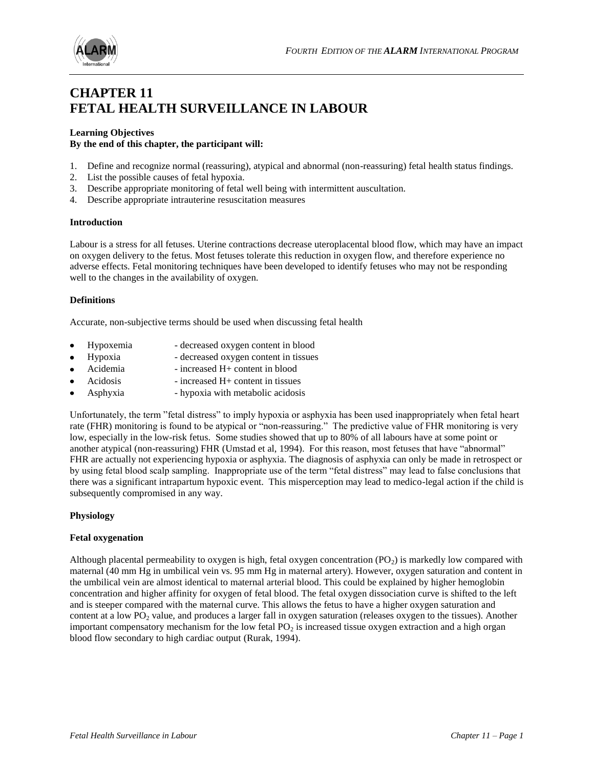

# **CHAPTER 11 FETAL HEALTH SURVEILLANCE IN LABOUR**

# **Learning Objectives**

## **By the end of this chapter, the participant will:**

- 1. Define and recognize normal (reassuring), atypical and abnormal (non-reassuring) fetal health status findings.
- 2. List the possible causes of fetal hypoxia.
- 3. Describe appropriate monitoring of fetal well being with intermittent auscultation.
- 4. Describe appropriate intrauterine resuscitation measures

#### **Introduction**

Labour is a stress for all fetuses. Uterine contractions decrease uteroplacental blood flow, which may have an impact on oxygen delivery to the fetus. Most fetuses tolerate this reduction in oxygen flow, and therefore experience no adverse effects. Fetal monitoring techniques have been developed to identify fetuses who may not be responding well to the changes in the availability of oxygen.

#### **Definitions**

Accurate, non-subjective terms should be used when discussing fetal health

- Hypoxemia decreased oxygen content in blood
- Hypoxia decreased oxygen content in tissues
- Acidemia increased H+ content in blood
- Acidosis increased H+ content in tissues
- Asphyxia hypoxia with metabolic acidosis

Unfortunately, the term "fetal distress" to imply hypoxia or asphyxia has been used inappropriately when fetal heart rate (FHR) monitoring is found to be atypical or "non-reassuring." The predictive value of FHR monitoring is very low, especially in the low-risk fetus. Some studies showed that up to 80% of all labours have at some point or another atypical (non-reassuring) FHR (Umstad et al, 1994). For this reason, most fetuses that have "abnormal" FHR are actually not experiencing hypoxia or asphyxia. The diagnosis of asphyxia can only be made in retrospect or by using fetal blood scalp sampling. Inappropriate use of the term "fetal distress" may lead to false conclusions that there was a significant intrapartum hypoxic event. This misperception may lead to medico-legal action if the child is subsequently compromised in any way.

## **Physiology**

#### **Fetal oxygenation**

Although placental permeability to oxygen is high, fetal oxygen concentration  $(PO<sub>2</sub>)$  is markedly low compared with maternal (40 mm Hg in umbilical vein vs. 95 mm Hg in maternal artery). However, oxygen saturation and content in the umbilical vein are almost identical to maternal arterial blood. This could be explained by higher hemoglobin concentration and higher affinity for oxygen of fetal blood. The fetal oxygen dissociation curve is shifted to the left and is steeper compared with the maternal curve. This allows the fetus to have a higher oxygen saturation and content at a low PO<sup>2</sup> value, and produces a larger fall in oxygen saturation (releases oxygen to the tissues). Another important compensatory mechanism for the low fetal  $PO<sub>2</sub>$  is increased tissue oxygen extraction and a high organ blood flow secondary to high cardiac output (Rurak, 1994).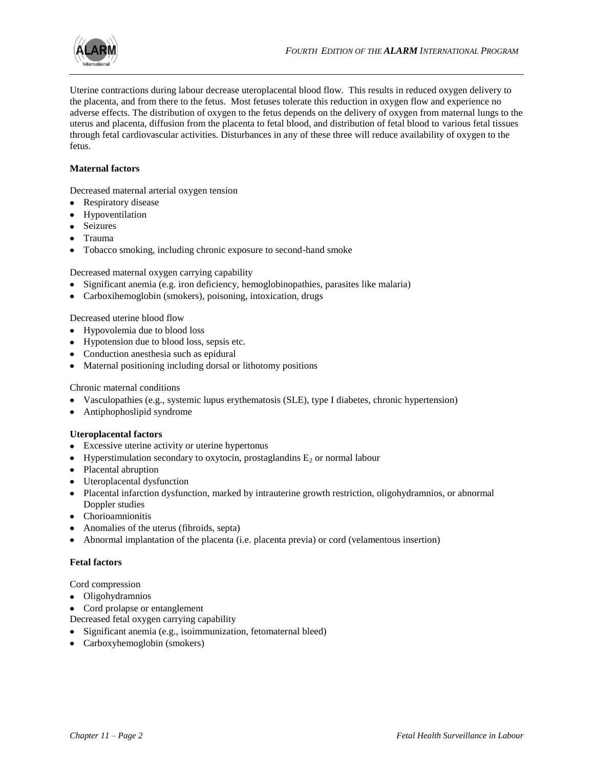

Uterine contractions during labour decrease uteroplacental blood flow. This results in reduced oxygen delivery to the placenta, and from there to the fetus. Most fetuses tolerate this reduction in oxygen flow and experience no adverse effects. The distribution of oxygen to the fetus depends on the delivery of oxygen from maternal lungs to the uterus and placenta, diffusion from the placenta to fetal blood, and distribution of fetal blood to various fetal tissues through fetal cardiovascular activities. Disturbances in any of these three will reduce availability of oxygen to the fetus.

## **Maternal factors**

Decreased maternal arterial oxygen tension

- Respiratory disease
- Hypoventilation
- Seizures
- Trauma
- Tobacco smoking, including chronic exposure to second-hand smoke

Decreased maternal oxygen carrying capability

- Significant anemia (e.g. iron deficiency, hemoglobinopathies, parasites like malaria)
- Carboxihemoglobin (smokers), poisoning, intoxication, drugs

Decreased uterine blood flow

- Hypovolemia due to blood loss
- Hypotension due to blood loss, sepsis etc.
- Conduction anesthesia such as epidural
- Maternal positioning including dorsal or lithotomy positions

#### Chronic maternal conditions

- Vasculopathies (e.g., systemic lupus erythematosis (SLE), type I diabetes, chronic hypertension)
- Antiphophoslipid syndrome

#### **Uteroplacental factors**

- Excessive uterine activity or uterine hypertonus
- Hyperstimulation secondary to oxytocin, prostaglandins  $E_2$  or normal labour
- Placental abruption
- Uteroplacental dysfunction
- Placental infarction dysfunction, marked by intrauterine growth restriction, oligohydramnios, or abnormal Doppler studies
- Chorioamnionitis
- Anomalies of the uterus (fibroids, septa)
- Abnormal implantation of the placenta (i.e. placenta previa) or cord (velamentous insertion)

## **Fetal factors**

Cord compression

- Oligohydramnios
- Cord prolapse or entanglement  $\bullet$
- Decreased fetal oxygen carrying capability
- Significant anemia (e.g., isoimmunization, fetomaternal bleed)
- Carboxyhemoglobin (smokers)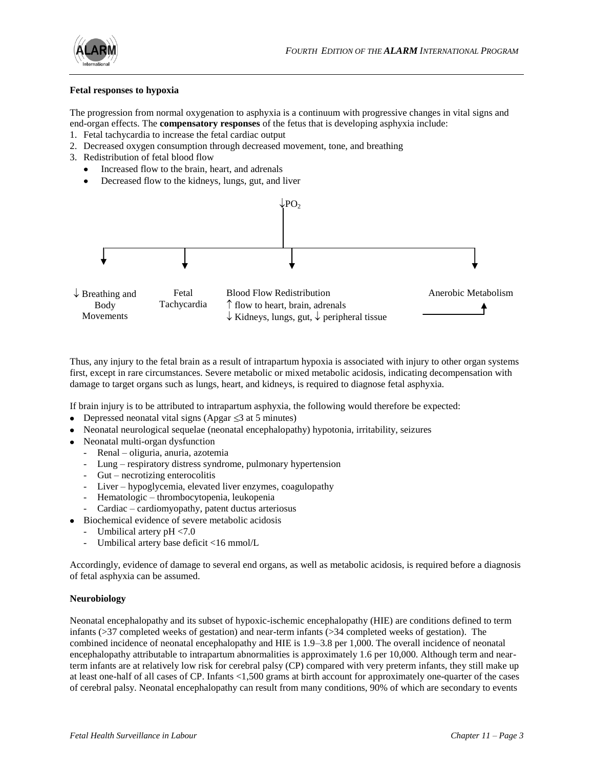

#### **Fetal responses to hypoxia**

The progression from normal oxygenation to asphyxia is a continuum with progressive changes in vital signs and end-organ effects. The **compensatory responses** of the fetus that is developing asphyxia include:

- 1. Fetal tachycardia to increase the fetal cardiac output
- 2. Decreased oxygen consumption through decreased movement, tone, and breathing
- 3. Redistribution of fetal blood flow
	- Increased flow to the brain, heart, and adrenals
	- Decreased flow to the kidneys, lungs, gut, and liver



Thus, any injury to the fetal brain as a result of intrapartum hypoxia is associated with injury to other organ systems first, except in rare circumstances. Severe metabolic or mixed metabolic acidosis, indicating decompensation with damage to target organs such as lungs, heart, and kidneys, is required to diagnose fetal asphyxia.

If brain injury is to be attributed to intrapartum asphyxia, the following would therefore be expected:

- Depressed neonatal vital signs (Apgar  $\leq$ 3 at 5 minutes)
- Neonatal neurological sequelae (neonatal encephalopathy) hypotonia, irritability, seizures
- Neonatal multi-organ dysfunction
	- Renal oliguria, anuria, azotemia
	- Lung respiratory distress syndrome, pulmonary hypertension
	- Gut necrotizing enterocolitis
	- Liver hypoglycemia, elevated liver enzymes, coagulopathy
	- Hematologic thrombocytopenia, leukopenia
	- Cardiac cardiomyopathy, patent ductus arteriosus
- Biochemical evidence of severe metabolic acidosis
	- Umbilical artery pH <7.0
	- Umbilical artery base deficit <16 mmol/L

Accordingly, evidence of damage to several end organs, as well as metabolic acidosis, is required before a diagnosis of fetal asphyxia can be assumed.

## **Neurobiology**

Neonatal encephalopathy and its subset of hypoxic-ischemic encephalopathy (HIE) are conditions defined to term infants (>37 completed weeks of gestation) and near-term infants (>34 completed weeks of gestation). The combined incidence of neonatal encephalopathy and HIE is 1.9–3.8 per 1,000. The overall incidence of neonatal encephalopathy attributable to intrapartum abnormalities is approximately 1.6 per 10,000. Although term and nearterm infants are at relatively low risk for cerebral palsy (CP) compared with very preterm infants, they still make up at least one-half of all cases of CP. Infants <1,500 grams at birth account for approximately one-quarter of the cases of cerebral palsy. Neonatal encephalopathy can result from many conditions, 90% of which are secondary to events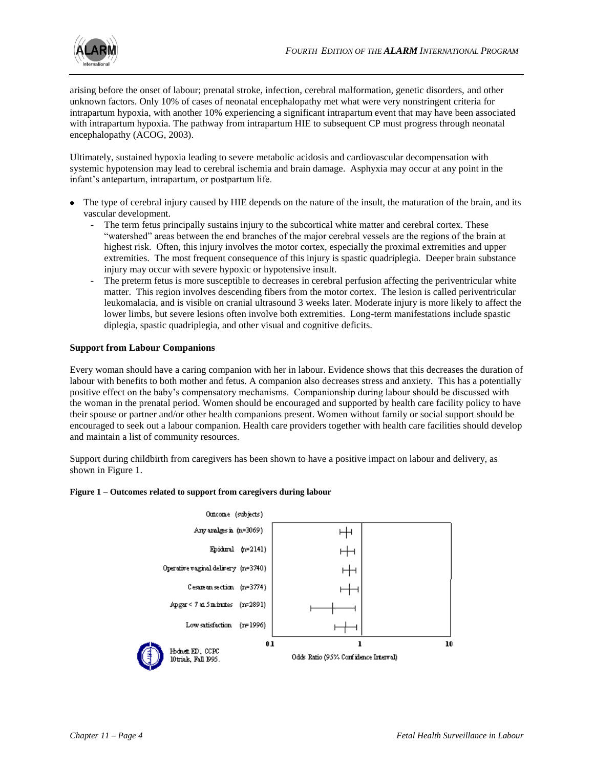

arising before the onset of labour; prenatal stroke, infection, cerebral malformation, genetic disorders, and other unknown factors. Only 10% of cases of neonatal encephalopathy met what were very nonstringent criteria for intrapartum hypoxia, with another 10% experiencing a significant intrapartum event that may have been associated with intrapartum hypoxia. The pathway from intrapartum HIE to subsequent CP must progress through neonatal encephalopathy (ACOG, 2003).

Ultimately, sustained hypoxia leading to severe metabolic acidosis and cardiovascular decompensation with systemic hypotension may lead to cerebral ischemia and brain damage. Asphyxia may occur at any point in the infant's antepartum, intrapartum, or postpartum life.

- The type of cerebral injury caused by HIE depends on the nature of the insult, the maturation of the brain, and its vascular development.
	- The term fetus principally sustains injury to the subcortical white matter and cerebral cortex. These "watershed" areas between the end branches of the major cerebral vessels are the regions of the brain at highest risk. Often, this injury involves the motor cortex, especially the proximal extremities and upper extremities. The most frequent consequence of this injury is spastic quadriplegia. Deeper brain substance injury may occur with severe hypoxic or hypotensive insult.
	- The preterm fetus is more susceptible to decreases in cerebral perfusion affecting the periventricular white matter. This region involves descending fibers from the motor cortex. The lesion is called periventricular leukomalacia, and is visible on cranial ultrasound 3 weeks later. Moderate injury is more likely to affect the lower limbs, but severe lesions often involve both extremities. Long-term manifestations include spastic diplegia, spastic quadriplegia, and other visual and cognitive deficits.

## **Support from Labour Companions**

Every woman should have a caring companion with her in labour. Evidence shows that this decreases the duration of labour with benefits to both mother and fetus. A companion also decreases stress and anxiety. This has a potentially positive effect on the baby's compensatory mechanisms. Companionship during labour should be discussed with the woman in the prenatal period. Women should be encouraged and supported by health care facility policy to have their spouse or partner and/or other health companions present. Women without family or social support should be encouraged to seek out a labour companion. Health care providers together with health care facilities should develop and maintain a list of community resources.

Support during childbirth from caregivers has been shown to have a positive impact on labour and delivery, as shown in Figure 1.

#### **Figure 1 – Outcomes related to support from caregivers during labour**

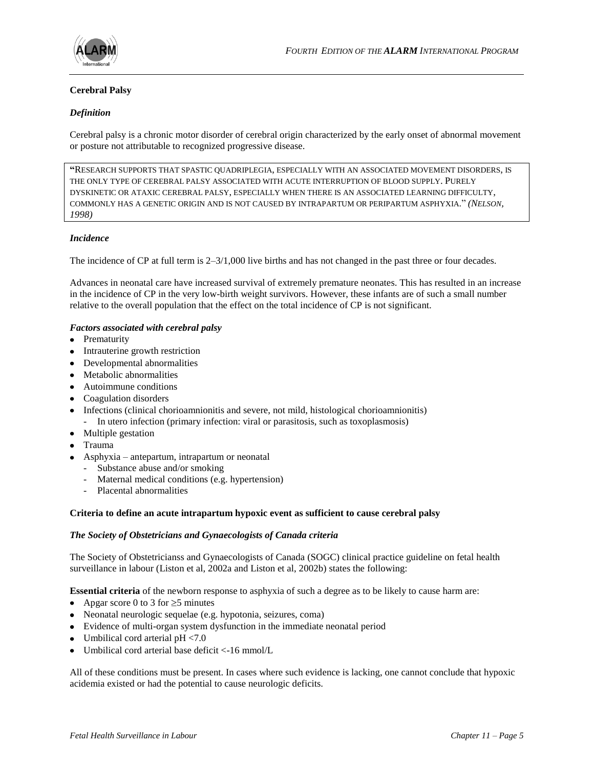

## **Cerebral Palsy**

## *Definition*

Cerebral palsy is a chronic motor disorder of cerebral origin characterized by the early onset of abnormal movement or posture not attributable to recognized progressive disease.

**"**RESEARCH SUPPORTS THAT SPASTIC QUADRIPLEGIA, ESPECIALLY WITH AN ASSOCIATED MOVEMENT DISORDERS, IS THE ONLY TYPE OF CEREBRAL PALSY ASSOCIATED WITH ACUTE INTERRUPTION OF BLOOD SUPPLY. PURELY DYSKINETIC OR ATAXIC CEREBRAL PALSY, ESPECIALLY WHEN THERE IS AN ASSOCIATED LEARNING DIFFICULTY, COMMONLY HAS A GENETIC ORIGIN AND IS NOT CAUSED BY INTRAPARTUM OR PERIPARTUM ASPHYXIA." *(NELSON, 1998)*

## *Incidence*

The incidence of CP at full term is 2–3/1,000 live births and has not changed in the past three or four decades.

Advances in neonatal care have increased survival of extremely premature neonates. This has resulted in an increase in the incidence of CP in the very low-birth weight survivors. However, these infants are of such a small number relative to the overall population that the effect on the total incidence of CP is not significant.

## *Factors associated with cerebral palsy*

- Prematurity
- Intrauterine growth restriction
- Developmental abnormalities
- Metabolic abnormalities
- Autoimmune conditions
- Coagulation disorders
- Infections (clinical chorioamnionitis and severe, not mild, histological chorioamnionitis) - In utero infection (primary infection: viral or parasitosis, such as toxoplasmosis)
- Multiple gestation
- Trauma
- Asphyxia antepartum, intrapartum or neonatal
	- Substance abuse and/or smoking
	- Maternal medical conditions (e.g. hypertension)
	- Placental abnormalities

#### **Criteria to define an acute intrapartum hypoxic event as sufficient to cause cerebral palsy**

#### *The Society of Obstetricians and Gynaecologists of Canada criteria*

The Society of Obstetricianss and Gynaecologists of Canada (SOGC) clinical practice guideline on fetal health surveillance in labour (Liston et al, 2002a and Liston et al, 2002b) states the following:

**Essential criteria** of the newborn response to asphyxia of such a degree as to be likely to cause harm are:

- Apgar score 0 to 3 for  $\ge$  5 minutes
- Neonatal neurologic sequelae (e.g. hypotonia, seizures, coma)
- Evidence of multi-organ system dysfunction in the immediate neonatal period
- Umbilical cord arterial  $pH < 7.0$
- Umbilical cord arterial base deficit <-16 mmol/L

All of these conditions must be present. In cases where such evidence is lacking, one cannot conclude that hypoxic acidemia existed or had the potential to cause neurologic deficits.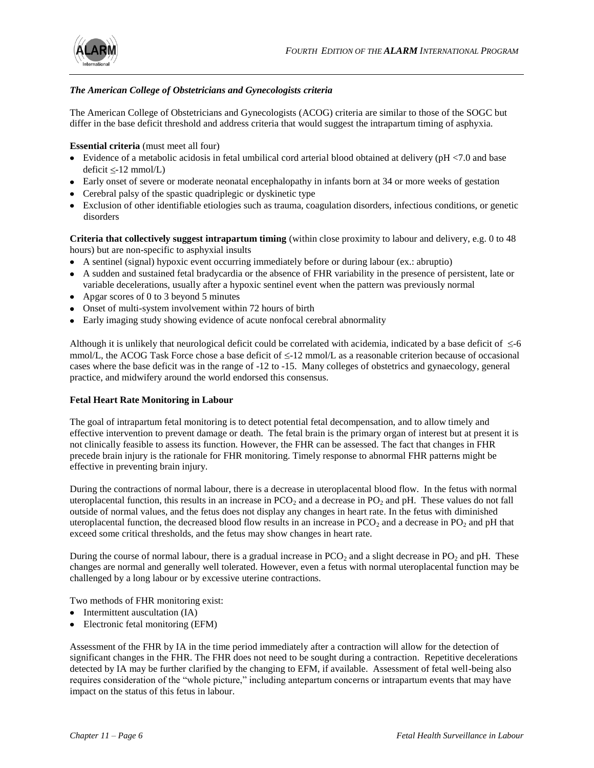

## *The American College of Obstetricians and Gynecologists criteria*

The American College of Obstetricians and Gynecologists (ACOG) criteria are similar to those of the SOGC but differ in the base deficit threshold and address criteria that would suggest the intrapartum timing of asphyxia.

## **Essential criteria** (must meet all four)

- Evidence of a metabolic acidosis in fetal umbilical cord arterial blood obtained at delivery (pH <7.0 and base  $deficit \leq-12 mmol/L)$
- Early onset of severe or moderate neonatal encephalopathy in infants born at 34 or more weeks of gestation
- Cerebral palsy of the spastic quadriplegic or dyskinetic type
- Exclusion of other identifiable etiologies such as trauma, coagulation disorders, infectious conditions, or genetic disorders

**Criteria that collectively suggest intrapartum timing** (within close proximity to labour and delivery, e.g. 0 to 48 hours) but are non-specific to asphyxial insults

- A sentinel (signal) hypoxic event occurring immediately before or during labour (ex.: abruptio)
- A sudden and sustained fetal bradycardia or the absence of FHR variability in the presence of persistent, late or variable decelerations, usually after a hypoxic sentinel event when the pattern was previously normal
- Apgar scores of 0 to 3 beyond 5 minutes
- Onset of multi-system involvement within 72 hours of birth
- Early imaging study showing evidence of acute nonfocal cerebral abnormality

Although it is unlikely that neurological deficit could be correlated with acidemia, indicated by a base deficit of  $\leq 6$ mmol/L, the ACOG Task Force chose a base deficit of  $\leq$ -12 mmol/L as a reasonable criterion because of occasional cases where the base deficit was in the range of -12 to -15. Many colleges of obstetrics and gynaecology, general practice, and midwifery around the world endorsed this consensus.

#### **Fetal Heart Rate Monitoring in Labour**

The goal of intrapartum fetal monitoring is to detect potential fetal decompensation, and to allow timely and effective intervention to prevent damage or death. The fetal brain is the primary organ of interest but at present it is not clinically feasible to assess its function. However, the FHR can be assessed. The fact that changes in FHR precede brain injury is the rationale for FHR monitoring. Timely response to abnormal FHR patterns might be effective in preventing brain injury.

During the contractions of normal labour, there is a decrease in uteroplacental blood flow. In the fetus with normal uteroplacental function, this results in an increase in  $PCO<sub>2</sub>$  and a decrease in  $PO<sub>2</sub>$  and pH. These values do not fall outside of normal values, and the fetus does not display any changes in heart rate. In the fetus with diminished uteroplacental function, the decreased blood flow results in an increase in  $PCO<sub>2</sub>$  and a decrease in PO<sub>2</sub> and pH that exceed some critical thresholds, and the fetus may show changes in heart rate.

During the course of normal labour, there is a gradual increase in  $PCO<sub>2</sub>$  and a slight decrease in  $PO<sub>2</sub>$  and pH. These changes are normal and generally well tolerated. However, even a fetus with normal uteroplacental function may be challenged by a long labour or by excessive uterine contractions.

Two methods of FHR monitoring exist:

- Intermittent auscultation (IA)
- Electronic fetal monitoring (EFM)

Assessment of the FHR by IA in the time period immediately after a contraction will allow for the detection of significant changes in the FHR. The FHR does not need to be sought during a contraction. Repetitive decelerations detected by IA may be further clarified by the changing to EFM, if available. Assessment of fetal well-being also requires consideration of the "whole picture," including antepartum concerns or intrapartum events that may have impact on the status of this fetus in labour.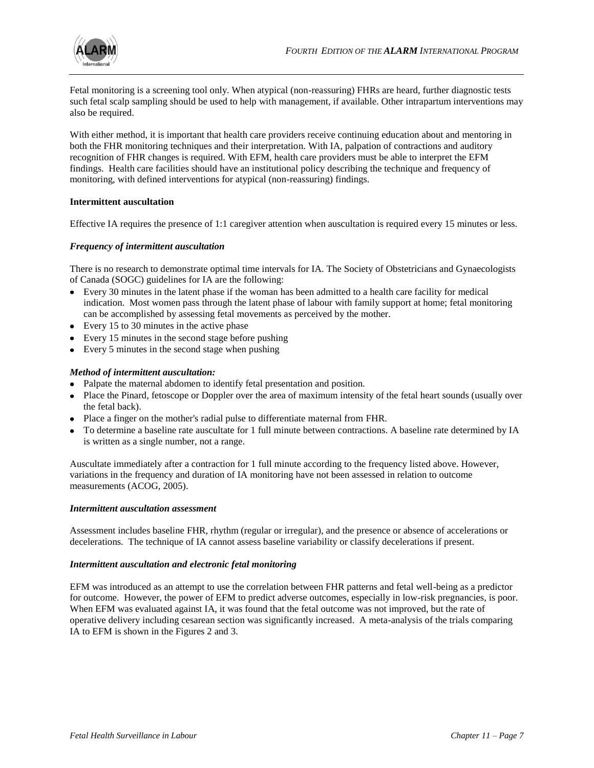

Fetal monitoring is a screening tool only. When atypical (non-reassuring) FHRs are heard, further diagnostic tests such fetal scalp sampling should be used to help with management, if available. Other intrapartum interventions may also be required.

With either method, it is important that health care providers receive continuing education about and mentoring in both the FHR monitoring techniques and their interpretation. With IA, palpation of contractions and auditory recognition of FHR changes is required. With EFM, health care providers must be able to interpret the EFM findings. Health care facilities should have an institutional policy describing the technique and frequency of monitoring, with defined interventions for atypical (non-reassuring) findings.

#### **Intermittent auscultation**

Effective IA requires the presence of 1:1 caregiver attention when auscultation is required every 15 minutes or less.

#### *Frequency of intermittent auscultation*

There is no research to demonstrate optimal time intervals for IA. The Society of Obstetricians and Gynaecologists of Canada (SOGC) guidelines for IA are the following:

- Every 30 minutes in the latent phase if the woman has been admitted to a health care facility for medical indication. Most women pass through the latent phase of labour with family support at home; fetal monitoring can be accomplished by assessing fetal movements as perceived by the mother.
- Every 15 to 30 minutes in the active phase
- Every 15 minutes in the second stage before pushing
- Every 5 minutes in the second stage when pushing

#### *Method of intermittent auscultation:*

- Palpate the maternal abdomen to identify fetal presentation and position.
- Place the Pinard, fetoscope or Doppler over the area of maximum intensity of the fetal heart sounds (usually over the fetal back).
- Place a finger on the mother's radial pulse to differentiate maternal from FHR.
- To determine a baseline rate auscultate for 1 full minute between contractions. A baseline rate determined by IA is written as a single number, not a range.

Auscultate immediately after a contraction for 1 full minute according to the frequency listed above. However, variations in the frequency and duration of IA monitoring have not been assessed in relation to outcome measurements (ACOG, 2005).

#### *Intermittent auscultation assessment*

Assessment includes baseline FHR, rhythm (regular or irregular), and the presence or absence of accelerations or decelerations. The technique of IA cannot assess baseline variability or classify decelerations if present.

#### *Intermittent auscultation and electronic fetal monitoring*

EFM was introduced as an attempt to use the correlation between FHR patterns and fetal well-being as a predictor for outcome. However, the power of EFM to predict adverse outcomes, especially in low-risk pregnancies, is poor. When EFM was evaluated against IA, it was found that the fetal outcome was not improved, but the rate of operative delivery including cesarean section was significantly increased. A meta-analysis of the trials comparing IA to EFM is shown in the Figures 2 and 3.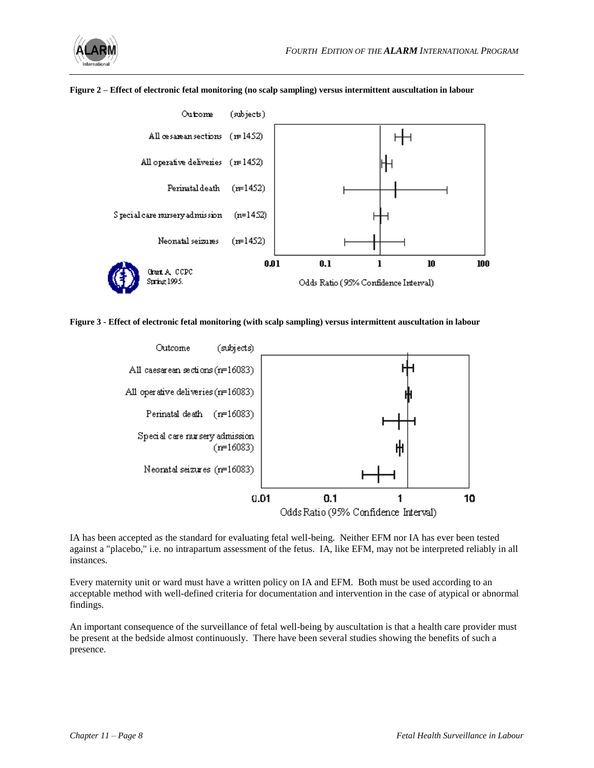





**Figure 3 - Effect of electronic fetal monitoring (with scalp sampling) versus intermittent auscultation in labour**



IA has been accepted as the standard for evaluating fetal well-being. Neither EFM nor IA has ever been tested against a "placebo," i.e. no intrapartum assessment of the fetus. IA, like EFM, may not be interpreted reliably in all instances.

Every maternity unit or ward must have a written policy on IA and EFM. Both must be used according to an acceptable method with well-defined criteria for documentation and intervention in the case of atypical or abnormal findings.

An important consequence of the surveillance of fetal well-being by auscultation is that a health care provider must be present at the bedside almost continuously. There have been several studies showing the benefits of such a presence.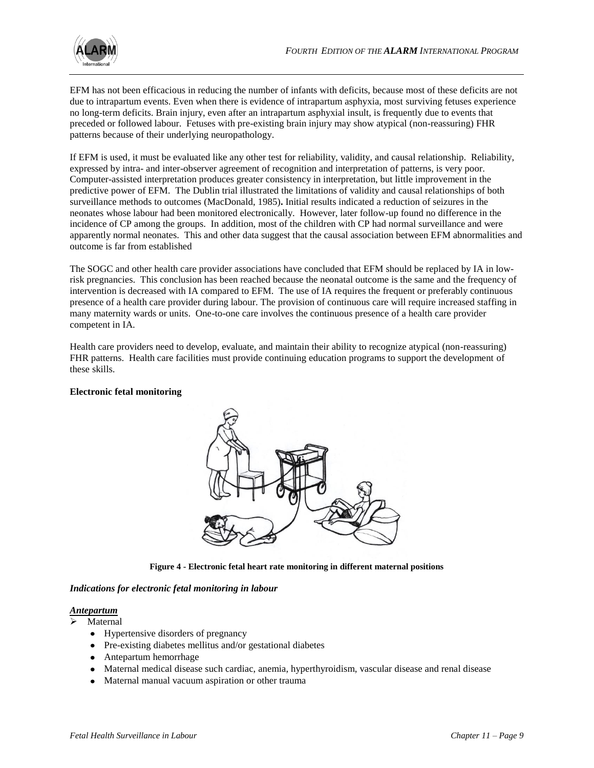EFM has not been efficacious in reducing the number of infants with deficits, because most of these deficits are not due to intrapartum events. Even when there is evidence of intrapartum asphyxia, most surviving fetuses experience no long-term deficits. Brain injury, even after an intrapartum asphyxial insult, is frequently due to events that preceded or followed labour. Fetuses with pre-existing brain injury may show atypical (non-reassuring) FHR patterns because of their underlying neuropathology.

If EFM is used, it must be evaluated like any other test for reliability, validity, and causal relationship. Reliability, expressed by intra- and inter-observer agreement of recognition and interpretation of patterns, is very poor. Computer-assisted interpretation produces greater consistency in interpretation, but little improvement in the predictive power of EFM. The Dublin trial illustrated the limitations of validity and causal relationships of both surveillance methods to outcomes (MacDonald, 1985)**.** Initial results indicated a reduction of seizures in the neonates whose labour had been monitored electronically. However, later follow-up found no difference in the incidence of CP among the groups. In addition, most of the children with CP had normal surveillance and were apparently normal neonates. This and other data suggest that the causal association between EFM abnormalities and outcome is far from established

The SOGC and other health care provider associations have concluded that EFM should be replaced by IA in lowrisk pregnancies. This conclusion has been reached because the neonatal outcome is the same and the frequency of intervention is decreased with IA compared to EFM. The use of IA requires the frequent or preferably continuous presence of a health care provider during labour. The provision of continuous care will require increased staffing in many maternity wards or units. One-to-one care involves the continuous presence of a health care provider competent in IA.

Health care providers need to develop, evaluate, and maintain their ability to recognize atypical (non-reassuring) FHR patterns. Health care facilities must provide continuing education programs to support the development of these skills.

## **Electronic fetal monitoring**



**Figure 4 - Electronic fetal heart rate monitoring in different maternal positions**

#### *Indications for electronic fetal monitoring in labour*

## *Antepartum*

Maternal

- Hypertensive disorders of pregnancy
- Pre-existing diabetes mellitus and/or gestational diabetes
- Antepartum hemorrhage
- Maternal medical disease such cardiac, anemia, hyperthyroidism, vascular disease and renal disease
- Maternal manual vacuum aspiration or other trauma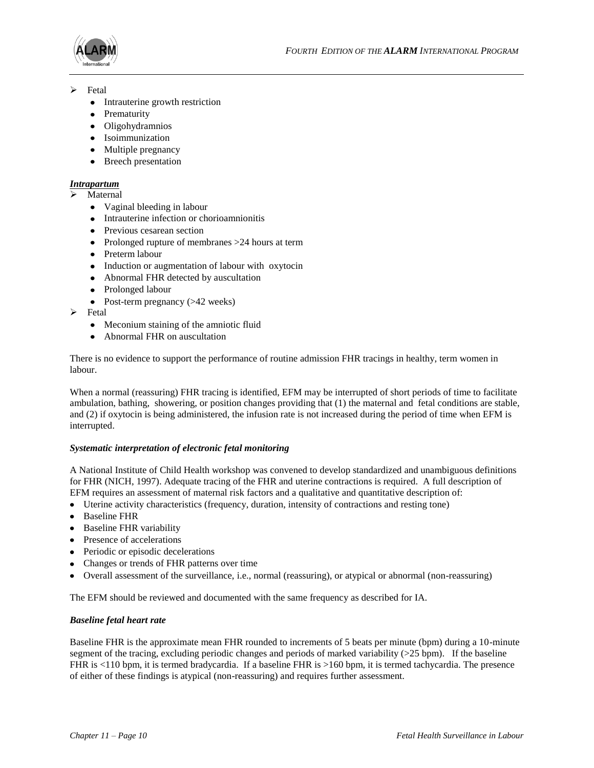

- $\triangleright$  Fetal
	- Intrauterine growth restriction
	- Prematurity
	- Oligohydramnios
	- Isoimmunization
	- Multiple pregnancy
	- Breech presentation

## *Intrapartum*

- Maternal
	- Vaginal bleeding in labour
	- Intrauterine infection or chorioamnionitis
	- Previous cesarean section
	- Prolonged rupture of membranes >24 hours at term
	- Preterm labour
	- Induction or augmentation of labour with oxytocin
	- Abnormal FHR detected by auscultation
	- Prolonged labour
	- Post-term pregnancy  $(>42$  weeks)
- $\triangleright$  Fetal
	- Meconium staining of the amniotic fluid
	- Abnormal FHR on auscultation

There is no evidence to support the performance of routine admission FHR tracings in healthy, term women in labour.

When a normal (reassuring) FHR tracing is identified, EFM may be interrupted of short periods of time to facilitate ambulation, bathing, showering, or position changes providing that (1) the maternal and fetal conditions are stable, and (2) if oxytocin is being administered, the infusion rate is not increased during the period of time when EFM is interrupted.

## *Systematic interpretation of electronic fetal monitoring*

A National Institute of Child Health workshop was convened to develop standardized and unambiguous definitions for FHR (NICH, 1997). Adequate tracing of the FHR and uterine contractions is required. A full description of EFM requires an assessment of maternal risk factors and a qualitative and quantitative description of:

- Uterine activity characteristics (frequency, duration, intensity of contractions and resting tone)
- Baseline FHR
- Baseline FHR variability
- Presence of accelerations
- Periodic or episodic decelerations
- Changes or trends of FHR patterns over time
- Overall assessment of the surveillance, i.e., normal (reassuring), or atypical or abnormal (non-reassuring)

The EFM should be reviewed and documented with the same frequency as described for IA.

## *Baseline fetal heart rate*

Baseline FHR is the approximate mean FHR rounded to increments of 5 beats per minute (bpm) during a 10-minute segment of the tracing, excluding periodic changes and periods of marked variability (>25 bpm). If the baseline FHR is <110 bpm, it is termed bradycardia. If a baseline FHR is >160 bpm, it is termed tachycardia. The presence of either of these findings is atypical (non-reassuring) and requires further assessment.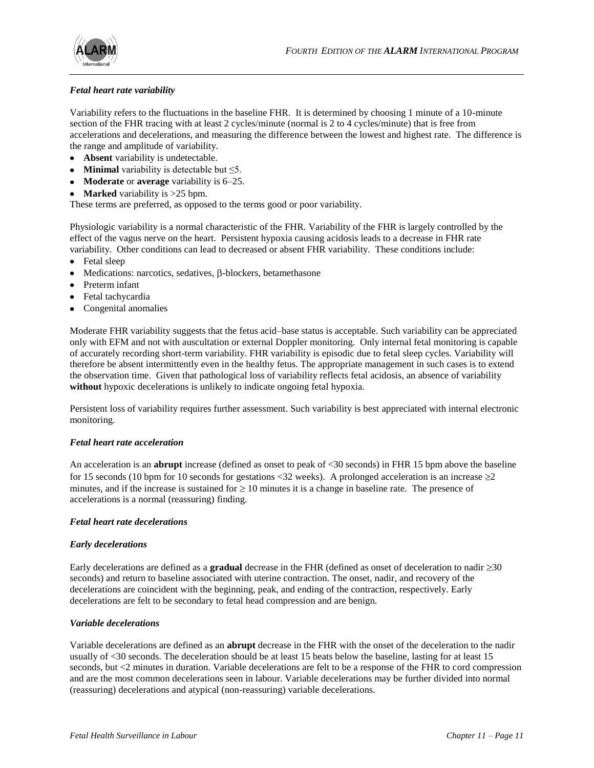

## *Fetal heart rate variability*

Variability refers to the fluctuations in the baseline FHR. It is determined by choosing 1 minute of a 10-minute section of the FHR tracing with at least 2 cycles/minute (normal is 2 to 4 cycles/minute) that is free from accelerations and decelerations, and measuring the difference between the lowest and highest rate. The difference is the range and amplitude of variability.

- **Absent** variability is undetectable.
- **Minimal** variability is detectable but ≤5.
- **Moderate** or **average** variability is 6–25.
- **Marked** variability is >25 bpm.

These terms are preferred, as opposed to the terms good or poor variability.

Physiologic variability is a normal characteristic of the FHR. Variability of the FHR is largely controlled by the effect of the vagus nerve on the heart. Persistent hypoxia causing acidosis leads to a decrease in FHR rate variability. Other conditions can lead to decreased or absent FHR variability. These conditions include:

- Fetal sleep
- $\bullet$  Medications: narcotics, sedatives,  $\beta$ -blockers, betamethasone
- Preterm infant
- Fetal tachycardia
- Congenital anomalies

Moderate FHR variability suggests that the fetus acid–base status is acceptable. Such variability can be appreciated only with EFM and not with auscultation or external Doppler monitoring. Only internal fetal monitoring is capable of accurately recording short-term variability. FHR variability is episodic due to fetal sleep cycles. Variability will therefore be absent intermittently even in the healthy fetus. The appropriate management in such cases is to extend the observation time. Given that pathological loss of variability reflects fetal acidosis, an absence of variability **without** hypoxic decelerations is unlikely to indicate ongoing fetal hypoxia.

Persistent loss of variability requires further assessment. Such variability is best appreciated with internal electronic monitoring.

## *Fetal heart rate acceleration*

An acceleration is an **abrupt** increase (defined as onset to peak of <30 seconds) in FHR 15 bpm above the baseline for 15 seconds (10 bpm for 10 seconds for gestations <32 weeks). A prolonged acceleration is an increase  $\geq 2$ minutes, and if the increase is sustained for  $\geq 10$  minutes it is a change in baseline rate. The presence of accelerations is a normal (reassuring) finding.

## *Fetal heart rate decelerations*

## *Early decelerations*

Early decelerations are defined as a **gradual** decrease in the FHR (defined as onset of deceleration to nadir  $\geq$ 30 seconds) and return to baseline associated with uterine contraction. The onset, nadir, and recovery of the decelerations are coincident with the beginning, peak, and ending of the contraction, respectively. Early decelerations are felt to be secondary to fetal head compression and are benign.

## *Variable decelerations*

Variable decelerations are defined as an **abrupt** decrease in the FHR with the onset of the deceleration to the nadir usually of <30 seconds. The deceleration should be at least 15 beats below the baseline, lasting for at least 15 seconds, but <2 minutes in duration. Variable decelerations are felt to be a response of the FHR to cord compression and are the most common decelerations seen in labour. Variable decelerations may be further divided into normal (reassuring) decelerations and atypical (non-reassuring) variable decelerations.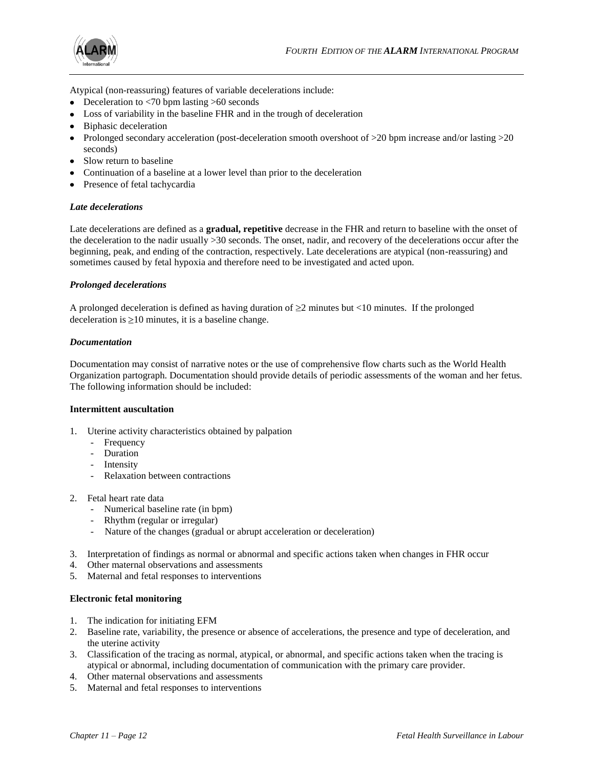

Atypical (non-reassuring) features of variable decelerations include:

- Deceleration to  $\langle 70 \text{ bpm} \rangle$  lasting  $>60$  seconds
- Loss of variability in the baseline FHR and in the trough of deceleration
- Biphasic deceleration
- Prolonged secondary acceleration (post-deceleration smooth overshoot of  $>20$  bpm increase and/or lasting  $>20$ seconds)
- Slow return to baseline
- Continuation of a baseline at a lower level than prior to the deceleration
- Presence of fetal tachycardia

#### *Late decelerations*

Late decelerations are defined as a **gradual, repetitive** decrease in the FHR and return to baseline with the onset of the deceleration to the nadir usually >30 seconds. The onset, nadir, and recovery of the decelerations occur after the beginning, peak, and ending of the contraction, respectively. Late decelerations are atypical (non-reassuring) and sometimes caused by fetal hypoxia and therefore need to be investigated and acted upon.

#### *Prolonged decelerations*

A prolonged deceleration is defined as having duration of  $\geq 2$  minutes but <10 minutes. If the prolonged deceleration is  $\geq 10$  minutes, it is a baseline change.

#### *Documentation*

Documentation may consist of narrative notes or the use of comprehensive flow charts such as the World Health Organization partograph. Documentation should provide details of periodic assessments of the woman and her fetus. The following information should be included:

#### **Intermittent auscultation**

- 1. Uterine activity characteristics obtained by palpation
	- Frequency
		- Duration
		- Intensity
		- Relaxation between contractions
- 2. Fetal heart rate data
	- Numerical baseline rate (in bpm)
	- Rhythm (regular or irregular)
	- Nature of the changes (gradual or abrupt acceleration or deceleration)
- 3. Interpretation of findings as normal or abnormal and specific actions taken when changes in FHR occur
- 4. Other maternal observations and assessments
- 5. Maternal and fetal responses to interventions

#### **Electronic fetal monitoring**

- 1. The indication for initiating EFM
- 2. Baseline rate, variability, the presence or absence of accelerations, the presence and type of deceleration, and the uterine activity
- 3. Classification of the tracing as normal, atypical, or abnormal, and specific actions taken when the tracing is atypical or abnormal, including documentation of communication with the primary care provider.
- 4. Other maternal observations and assessments
- 5. Maternal and fetal responses to interventions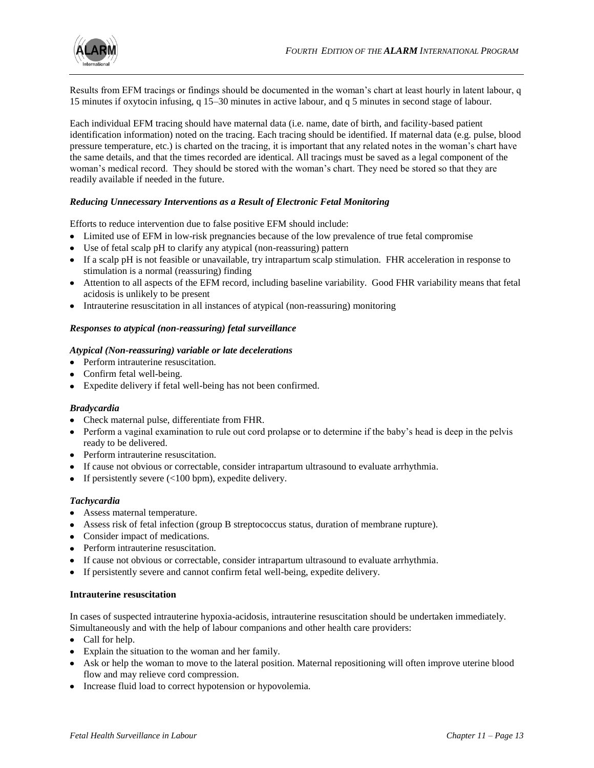

Results from EFM tracings or findings should be documented in the woman's chart at least hourly in latent labour, q 15 minutes if oxytocin infusing, q 15–30 minutes in active labour, and q 5 minutes in second stage of labour.

Each individual EFM tracing should have maternal data (i.e. name, date of birth, and facility-based patient identification information) noted on the tracing. Each tracing should be identified. If maternal data (e.g. pulse, blood pressure temperature, etc.) is charted on the tracing, it is important that any related notes in the woman's chart have the same details, and that the times recorded are identical. All tracings must be saved as a legal component of the woman's medical record. They should be stored with the woman's chart. They need be stored so that they are readily available if needed in the future.

## *Reducing Unnecessary Interventions as a Result of Electronic Fetal Monitoring*

Efforts to reduce intervention due to false positive EFM should include:

- Limited use of EFM in low-risk pregnancies because of the low prevalence of true fetal compromise
- Use of fetal scalp pH to clarify any atypical (non-reassuring) pattern
- If a scalp pH is not feasible or unavailable, try intrapartum scalp stimulation. FHR acceleration in response to stimulation is a normal (reassuring) finding
- Attention to all aspects of the EFM record, including baseline variability. Good FHR variability means that fetal acidosis is unlikely to be present
- Intrauterine resuscitation in all instances of atypical (non-reassuring) monitoring

## *Responses to atypical (non-reassuring) fetal surveillance*

## *Atypical (Non-reassuring) variable or late decelerations*

- Perform intrauterine resuscitation.
- Confirm fetal well-being.
- Expedite delivery if fetal well-being has not been confirmed.

## *Bradycardia*

- Check maternal pulse, differentiate from FHR.
- Perform a vaginal examination to rule out cord prolapse or to determine if the baby's head is deep in the pelvis ready to be delivered.
- Perform intrauterine resuscitation.
- If cause not obvious or correctable, consider intrapartum ultrasound to evaluate arrhythmia.
- If persistently severe  $\left($  < 100 bpm), expedite delivery.

## *Tachycardia*

- Assess maternal temperature.
- Assess risk of fetal infection (group B streptococcus status, duration of membrane rupture).
- Consider impact of medications.
- Perform intrauterine resuscitation.
- If cause not obvious or correctable, consider intrapartum ultrasound to evaluate arrhythmia.
- If persistently severe and cannot confirm fetal well-being, expedite delivery.

## **Intrauterine resuscitation**

In cases of suspected intrauterine hypoxia-acidosis, intrauterine resuscitation should be undertaken immediately. Simultaneously and with the help of labour companions and other health care providers:

- Call for help.
- Explain the situation to the woman and her family.
- Ask or help the woman to move to the lateral position. Maternal repositioning will often improve uterine blood flow and may relieve cord compression.
- Increase fluid load to correct hypotension or hypovolemia.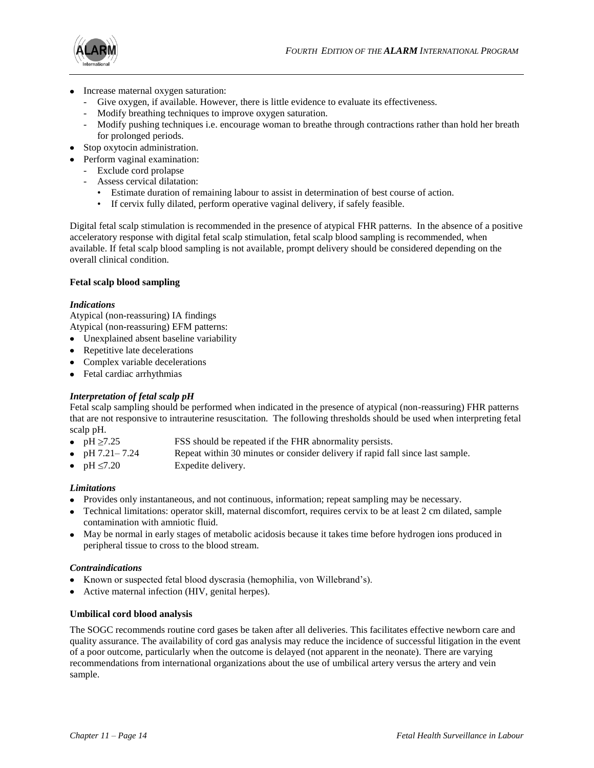

- Increase maternal oxygen saturation:
	- Give oxygen, if available. However, there is little evidence to evaluate its effectiveness.
	- Modify breathing techniques to improve oxygen saturation.
	- Modify pushing techniques i.e. encourage woman to breathe through contractions rather than hold her breath for prolonged periods.
- Stop oxytocin administration.
- Perform vaginal examination:
	- Exclude cord prolapse
	- Assess cervical dilatation:
		- Estimate duration of remaining labour to assist in determination of best course of action.
		- If cervix fully dilated, perform operative vaginal delivery, if safely feasible.

Digital fetal scalp stimulation is recommended in the presence of atypical FHR patterns. In the absence of a positive acceleratory response with digital fetal scalp stimulation, fetal scalp blood sampling is recommended, when available. If fetal scalp blood sampling is not available, prompt delivery should be considered depending on the overall clinical condition.

## **Fetal scalp blood sampling**

## *Indications*

Atypical (non-reassuring) IA findings Atypical (non-reassuring) EFM patterns:

- Unexplained absent baseline variability
- Repetitive late decelerations
- Complex variable decelerations
- Fetal cardiac arrhythmias

## *Interpretation of fetal scalp pH*

Fetal scalp sampling should be performed when indicated in the presence of atypical (non-reassuring) FHR patterns that are not responsive to intrauterine resuscitation. The following thresholds should be used when interpreting fetal scalp pH.

- 
- $pH \ge 7.25$  FSS should be repeated if the FHR abnormality persists.
- pH 7.21– 7.24 Repeat within 30 minutes or consider delivery if rapid fall since last sample.
- $pH \le 7.20$  Expedite delivery.

## *Limitations*

- Provides only instantaneous, and not continuous, information; repeat sampling may be necessary.
- Technical limitations: operator skill, maternal discomfort, requires cervix to be at least 2 cm dilated, sample contamination with amniotic fluid.
- May be normal in early stages of metabolic acidosis because it takes time before hydrogen ions produced in peripheral tissue to cross to the blood stream.

## *Contraindications*

- Known or suspected fetal blood dyscrasia (hemophilia, von Willebrand's).
- Active maternal infection (HIV, genital herpes).

## **Umbilical cord blood analysis**

The SOGC recommends routine cord gases be taken after all deliveries. This facilitates effective newborn care and quality assurance. The availability of cord gas analysis may reduce the incidence of successful litigation in the event of a poor outcome, particularly when the outcome is delayed (not apparent in the neonate). There are varying recommendations from international organizations about the use of umbilical artery versus the artery and vein sample.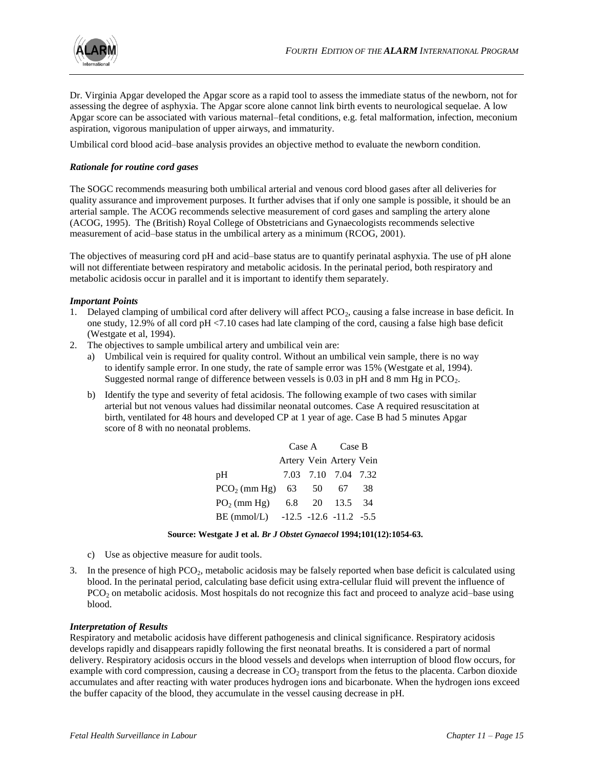

Dr. Virginia Apgar developed the Apgar score as a rapid tool to assess the immediate status of the newborn, not for assessing the degree of asphyxia. The Apgar score alone cannot link birth events to neurological sequelae. A low Apgar score can be associated with various maternal–fetal conditions, e.g. fetal malformation, infection, meconium aspiration, vigorous manipulation of upper airways, and immaturity.

Umbilical cord blood acid–base analysis provides an objective method to evaluate the newborn condition.

## *Rationale for routine cord gases*

The SOGC recommends measuring both umbilical arterial and venous cord blood gases after all deliveries for quality assurance and improvement purposes. It further advises that if only one sample is possible, it should be an arterial sample. The ACOG recommends selective measurement of cord gases and sampling the artery alone (ACOG, 1995). The (British) Royal College of Obstetricians and Gynaecologists recommends selective measurement of acid–base status in the umbilical artery as a minimum (RCOG, 2001).

The objectives of measuring cord pH and acid–base status are to quantify perinatal asphyxia. The use of pH alone will not differentiate between respiratory and metabolic acidosis. In the perinatal period, both respiratory and metabolic acidosis occur in parallel and it is important to identify them separately.

#### *Important Points*

- 1. Delayed clamping of umbilical cord after delivery will affect  $PCO<sub>2</sub>$ , causing a false increase in base deficit. In one study, 12.9% of all cord pH <7.10 cases had late clamping of the cord, causing a false high base deficit (Westgate et al, 1994).
- 2. The objectives to sample umbilical artery and umbilical vein are:
	- a) Umbilical vein is required for quality control. Without an umbilical vein sample, there is no way to identify sample error. In one study, the rate of sample error was 15% (Westgate et al, 1994). Suggested normal range of difference between vessels is  $0.03$  in pH and 8 mm Hg in PCO<sub>2</sub>.
	- b) Identify the type and severity of fetal acidosis. The following example of two cases with similar arterial but not venous values had dissimilar neonatal outcomes. Case A required resuscitation at birth, ventilated for 48 hours and developed CP at 1 year of age. Case B had 5 minutes Apgar score of 8 with no neonatal problems.

|                                      | Case A Case B |  |                         |      |
|--------------------------------------|---------------|--|-------------------------|------|
|                                      |               |  | Artery Vein Artery Vein |      |
| pH                                   |               |  | 7.03 7.10 7.04 7.32     |      |
| PCO <sub>2</sub> (mm Hg) 63 50 67    |               |  |                         | - 38 |
| $PO2$ (mm Hg)                        |               |  | 6.8 20 13.5 34          |      |
| BE (mmol/L) $-12.5 -12.6 -11.2 -5.5$ |               |  |                         |      |

#### **Source: Westgate J et al.** *Br J Obstet Gynaecol* **1994;101(12):1054-63.**

- c) Use as objective measure for audit tools.
- 3. In the presence of high  $PCO<sub>2</sub>$ , metabolic acidosis may be falsely reported when base deficit is calculated using blood. In the perinatal period, calculating base deficit using extra-cellular fluid will prevent the influence of PCO<sub>2</sub> on metabolic acidosis. Most hospitals do not recognize this fact and proceed to analyze acid–base using blood.

#### *Interpretation of Results*

Respiratory and metabolic acidosis have different pathogenesis and clinical significance. Respiratory acidosis develops rapidly and disappears rapidly following the first neonatal breaths. It is considered a part of normal delivery. Respiratory acidosis occurs in the blood vessels and develops when interruption of blood flow occurs, for example with cord compression, causing a decrease in  $CO<sub>2</sub>$  transport from the fetus to the placenta. Carbon dioxide accumulates and after reacting with water produces hydrogen ions and bicarbonate. When the hydrogen ions exceed the buffer capacity of the blood, they accumulate in the vessel causing decrease in pH.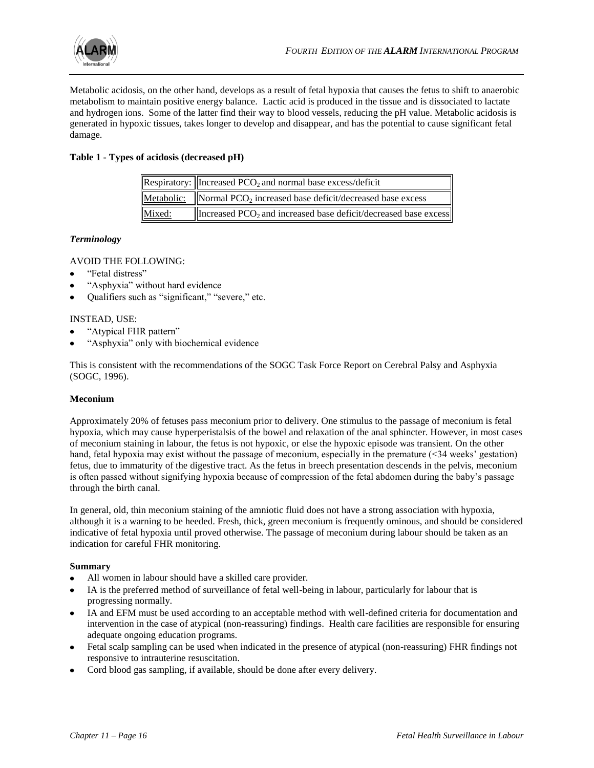

Metabolic acidosis, on the other hand, develops as a result of fetal hypoxia that causes the fetus to shift to anaerobic metabolism to maintain positive energy balance. Lactic acid is produced in the tissue and is dissociated to lactate and hydrogen ions. Some of the latter find their way to blood vessels, reducing the pH value. Metabolic acidosis is generated in hypoxic tissues, takes longer to develop and disappear, and has the potential to cause significant fetal damage.

## **Table 1 - Types of acidosis (decreased pH)**

|        | Respiratory: $\left\vert$ Increased PCO <sub>2</sub> and normal base excess/deficit |  |  |
|--------|-------------------------------------------------------------------------------------|--|--|
|        | Metabolic:  Normal PCO <sub>2</sub> increased base deficit/decreased base excess    |  |  |
| Mixed: | Increased $PCO2$ and increased base deficit/decreased base excess                   |  |  |

## *Terminology*

AVOID THE FOLLOWING:

- "Fetal distress"
- "Asphyxia" without hard evidence
- Qualifiers such as "significant," "severe," etc.

## INSTEAD, USE:

- "Atypical FHR pattern"
- "Asphyxia" only with biochemical evidence

This is consistent with the recommendations of the SOGC Task Force Report on Cerebral Palsy and Asphyxia (SOGC, 1996).

## **Meconium**

Approximately 20% of fetuses pass meconium prior to delivery. One stimulus to the passage of meconium is fetal hypoxia, which may cause hyperperistalsis of the bowel and relaxation of the anal sphincter. However, in most cases of meconium staining in labour, the fetus is not hypoxic, or else the hypoxic episode was transient. On the other hand, fetal hypoxia may exist without the passage of meconium, especially in the premature  $(\leq 34$  weeks' gestation) fetus, due to immaturity of the digestive tract. As the fetus in breech presentation descends in the pelvis, meconium is often passed without signifying hypoxia because of compression of the fetal abdomen during the baby's passage through the birth canal.

In general, old, thin meconium staining of the amniotic fluid does not have a strong association with hypoxia, although it is a warning to be heeded. Fresh, thick, green meconium is frequently ominous, and should be considered indicative of fetal hypoxia until proved otherwise. The passage of meconium during labour should be taken as an indication for careful FHR monitoring.

## **Summary**

- All women in labour should have a skilled care provider.
- IA is the preferred method of surveillance of fetal well-being in labour, particularly for labour that is  $\bullet$ progressing normally.
- IA and EFM must be used according to an acceptable method with well-defined criteria for documentation and intervention in the case of atypical (non-reassuring) findings. Health care facilities are responsible for ensuring adequate ongoing education programs.
- Fetal scalp sampling can be used when indicated in the presence of atypical (non-reassuring) FHR findings not responsive to intrauterine resuscitation.
- Cord blood gas sampling, if available, should be done after every delivery.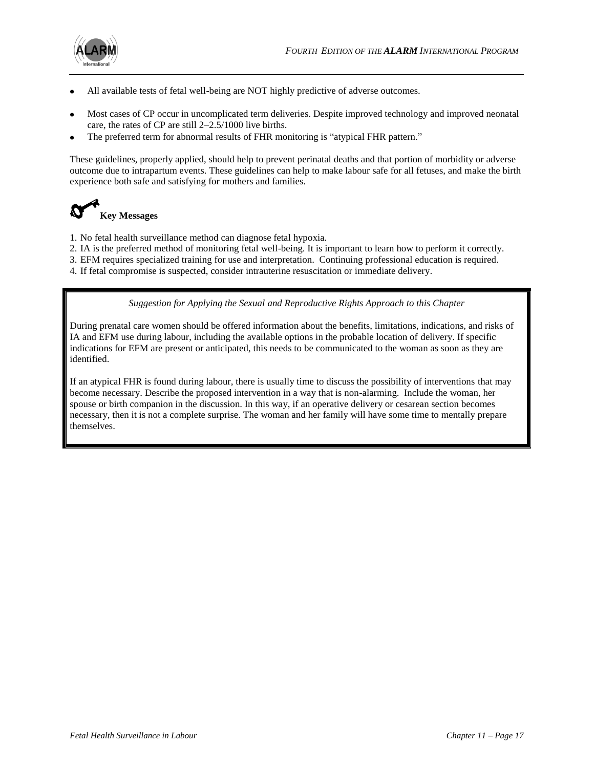

- All available tests of fetal well-being are NOT highly predictive of adverse outcomes.
- Most cases of CP occur in uncomplicated term deliveries. Despite improved technology and improved neonatal care, the rates of CP are still 2–2.5/1000 live births.
- The preferred term for abnormal results of FHR monitoring is "atypical FHR pattern."

These guidelines, properly applied, should help to prevent perinatal deaths and that portion of morbidity or adverse outcome due to intrapartum events. These guidelines can help to make labour safe for all fetuses, and make the birth experience both safe and satisfying for mothers and families.



- 1. No fetal health surveillance method can diagnose fetal hypoxia.
- 2. IA is the preferred method of monitoring fetal well-being. It is important to learn how to perform it correctly.
- 3. EFM requires specialized training for use and interpretation. Continuing professional education is required.
- 4. If fetal compromise is suspected, consider intrauterine resuscitation or immediate delivery.

*Suggestion for Applying the Sexual and Reproductive Rights Approach to this Chapter*

During prenatal care women should be offered information about the benefits, limitations, indications, and risks of IA and EFM use during labour, including the available options in the probable location of delivery. If specific indications for EFM are present or anticipated, this needs to be communicated to the woman as soon as they are identified.

If an atypical FHR is found during labour, there is usually time to discuss the possibility of interventions that may become necessary. Describe the proposed intervention in a way that is non-alarming. Include the woman, her spouse or birth companion in the discussion. In this way, if an operative delivery or cesarean section becomes necessary, then it is not a complete surprise. The woman and her family will have some time to mentally prepare themselves.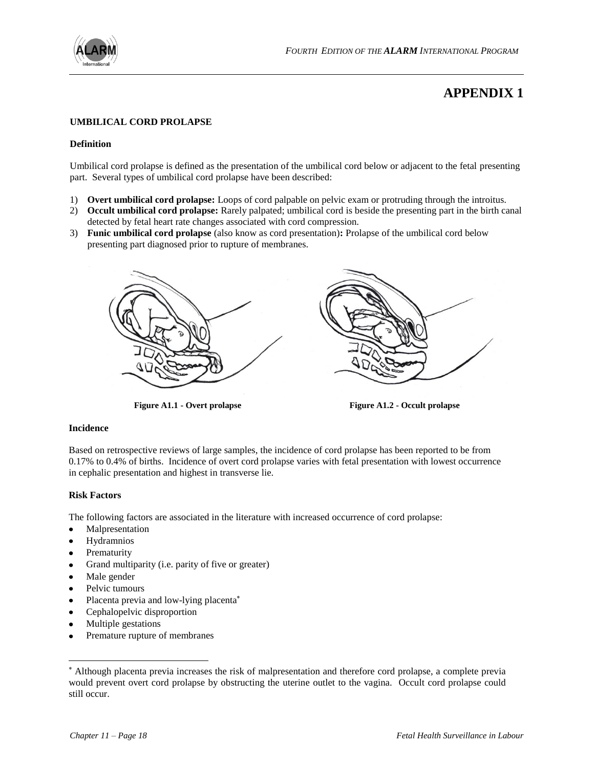

# **APPENDIX 1**

### **UMBILICAL CORD PROLAPSE**

#### **Definition**

Umbilical cord prolapse is defined as the presentation of the umbilical cord below or adjacent to the fetal presenting part. Several types of umbilical cord prolapse have been described:

- 1) **Overt umbilical cord prolapse:** Loops of cord palpable on pelvic exam or protruding through the introitus.
- 2) **Occult umbilical cord prolapse:** Rarely palpated; umbilical cord is beside the presenting part in the birth canal detected by fetal heart rate changes associated with cord compression.
- 3) **Funic umbilical cord prolapse** (also know as cord presentation)**:** Prolapse of the umbilical cord below presenting part diagnosed prior to rupture of membranes.



**Figure A1.1 - Overt prolapse Figure A1.2 - Occult prolapse**

#### **Incidence**

Based on retrospective reviews of large samples, the incidence of cord prolapse has been reported to be from 0.17% to 0.4% of births. Incidence of overt cord prolapse varies with fetal presentation with lowest occurrence in cephalic presentation and highest in transverse lie.

#### **Risk Factors**

The following factors are associated in the literature with increased occurrence of cord prolapse:

- Malpresentation  $\bullet$
- Hydramnios
- Prematurity
- Grand multiparity (i.e. parity of five or greater)
- Male gender

l

- Pelvic tumours
- Placenta previa and low-lying placenta
- Cephalopelvic disproportion
- Multiple gestations
- Premature rupture of membranes

Although placenta previa increases the risk of malpresentation and therefore cord prolapse, a complete previa would prevent overt cord prolapse by obstructing the uterine outlet to the vagina. Occult cord prolapse could still occur.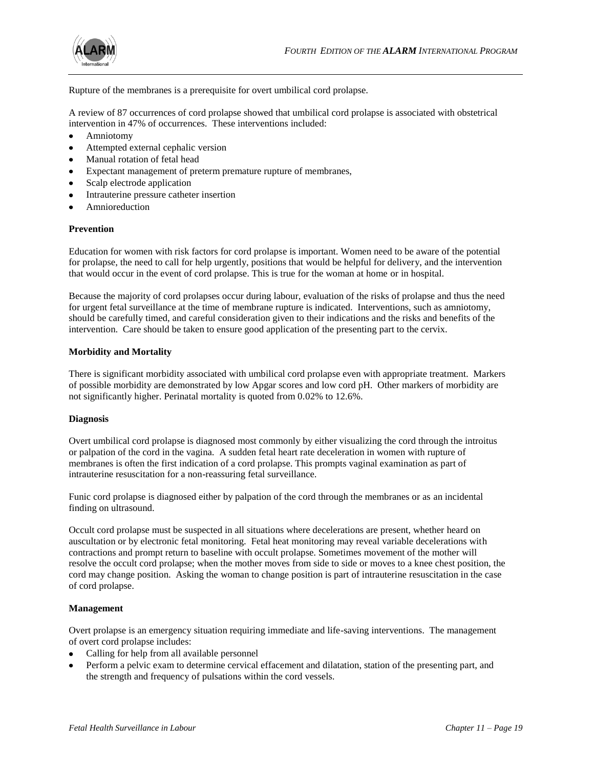

Rupture of the membranes is a prerequisite for overt umbilical cord prolapse.

A review of 87 occurrences of cord prolapse showed that umbilical cord prolapse is associated with obstetrical intervention in 47% of occurrences. These interventions included:

- Amniotomy
- Attempted external cephalic version
- Manual rotation of fetal head
- Expectant management of preterm premature rupture of membranes,
- Scalp electrode application
- Intrauterine pressure catheter insertion
- Amnioreduction

#### **Prevention**

Education for women with risk factors for cord prolapse is important. Women need to be aware of the potential for prolapse, the need to call for help urgently, positions that would be helpful for delivery, and the intervention that would occur in the event of cord prolapse. This is true for the woman at home or in hospital.

Because the majority of cord prolapses occur during labour, evaluation of the risks of prolapse and thus the need for urgent fetal surveillance at the time of membrane rupture is indicated. Interventions, such as amniotomy, should be carefully timed, and careful consideration given to their indications and the risks and benefits of the intervention. Care should be taken to ensure good application of the presenting part to the cervix.

### **Morbidity and Mortality**

There is significant morbidity associated with umbilical cord prolapse even with appropriate treatment. Markers of possible morbidity are demonstrated by low Apgar scores and low cord pH. Other markers of morbidity are not significantly higher. Perinatal mortality is quoted from 0.02% to 12.6%.

#### **Diagnosis**

Overt umbilical cord prolapse is diagnosed most commonly by either visualizing the cord through the introitus or palpation of the cord in the vagina. A sudden fetal heart rate deceleration in women with rupture of membranes is often the first indication of a cord prolapse. This prompts vaginal examination as part of intrauterine resuscitation for a non-reassuring fetal surveillance.

Funic cord prolapse is diagnosed either by palpation of the cord through the membranes or as an incidental finding on ultrasound.

Occult cord prolapse must be suspected in all situations where decelerations are present, whether heard on auscultation or by electronic fetal monitoring. Fetal heat monitoring may reveal variable decelerations with contractions and prompt return to baseline with occult prolapse. Sometimes movement of the mother will resolve the occult cord prolapse; when the mother moves from side to side or moves to a knee chest position, the cord may change position. Asking the woman to change position is part of intrauterine resuscitation in the case of cord prolapse.

## **Management**

Overt prolapse is an emergency situation requiring immediate and life-saving interventions. The management of overt cord prolapse includes:

- $\bullet$ Calling for help from all available personnel
- Perform a pelvic exam to determine cervical effacement and dilatation, station of the presenting part, and the strength and frequency of pulsations within the cord vessels.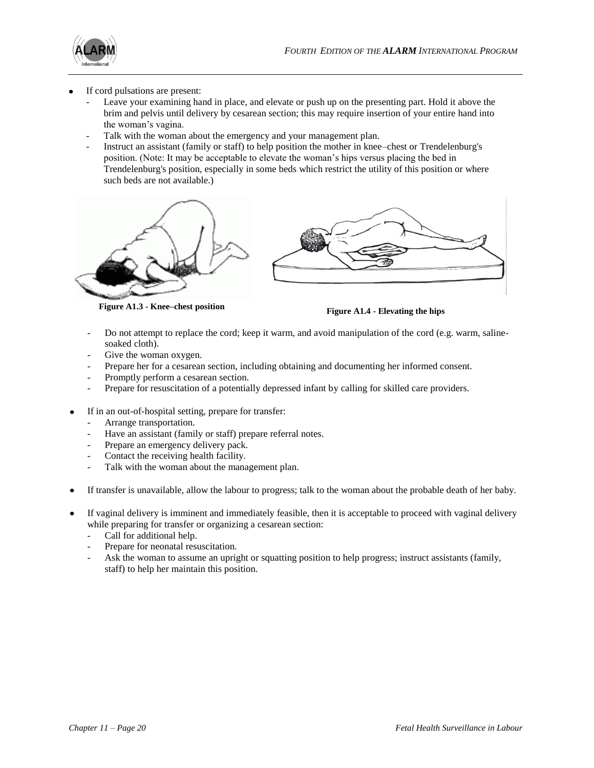

- If cord pulsations are present:
	- Leave your examining hand in place, and elevate or push up on the presenting part. Hold it above the brim and pelvis until delivery by cesarean section; this may require insertion of your entire hand into the woman's vagina.
	- Talk with the woman about the emergency and your management plan.
	- Instruct an assistant (family or staff) to help position the mother in knee–chest or Trendelenburg's position. (Note: It may be acceptable to elevate the woman's hips versus placing the bed in Trendelenburg's position, especially in some beds which restrict the utility of this position or where such beds are not available.)



**Figure A1.3 - Knee–chest position Figure A1.4 - Elevating the hips**

- Do not attempt to replace the cord; keep it warm, and avoid manipulation of the cord (e.g. warm, salinesoaked cloth).
- Give the woman oxygen.
- Prepare her for a cesarean section, including obtaining and documenting her informed consent.
- Promptly perform a cesarean section.
- Prepare for resuscitation of a potentially depressed infant by calling for skilled care providers.
- If in an out-of-hospital setting, prepare for transfer:
	- Arrange transportation.
	- Have an assistant (family or staff) prepare referral notes.
	- Prepare an emergency delivery pack.
	- Contact the receiving health facility.
	- Talk with the woman about the management plan.
- If transfer is unavailable, allow the labour to progress; talk to the woman about the probable death of her baby.
- If vaginal delivery is imminent and immediately feasible, then it is acceptable to proceed with vaginal delivery while preparing for transfer or organizing a cesarean section:
	- Call for additional help.
	- Prepare for neonatal resuscitation.
	- Ask the woman to assume an upright or squatting position to help progress; instruct assistants (family, staff) to help her maintain this position.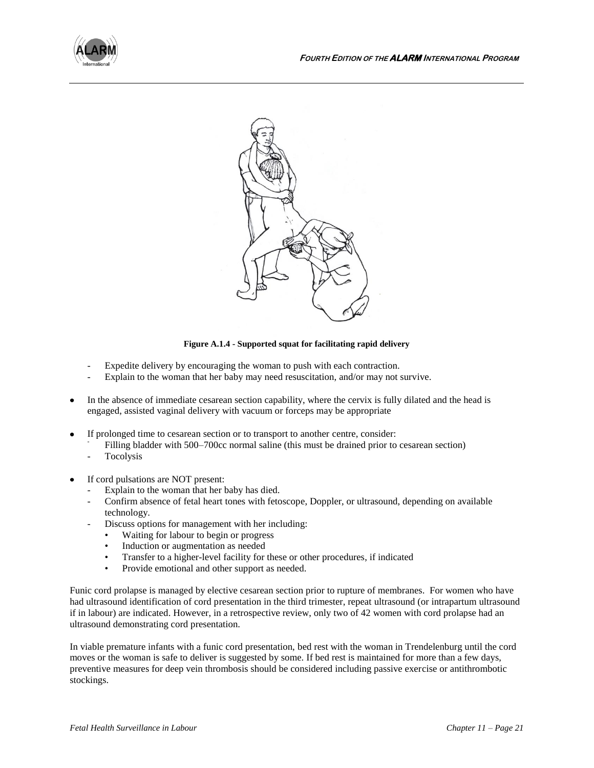



#### **Figure A.1.4 - Supported squat for facilitating rapid delivery**

- Expedite delivery by encouraging the woman to push with each contraction.
- Explain to the woman that her baby may need resuscitation, and/or may not survive.
- In the absence of immediate cesarean section capability, where the cervix is fully dilated and the head is engaged, assisted vaginal delivery with vacuum or forceps may be appropriate
- If prolonged time to cesarean section or to transport to another centre, consider:
	- Filling bladder with 500–700cc normal saline (this must be drained prior to cesarean section)
	- **Tocolysis**
- If cord pulsations are NOT present:
	- Explain to the woman that her baby has died.
	- Confirm absence of fetal heart tones with fetoscope, Doppler, or ultrasound, depending on available technology.
	- Discuss options for management with her including:
		- Waiting for labour to begin or progress
		- Induction or augmentation as needed
		- Transfer to a higher-level facility for these or other procedures, if indicated
		- Provide emotional and other support as needed.

Funic cord prolapse is managed by elective cesarean section prior to rupture of membranes. For women who have had ultrasound identification of cord presentation in the third trimester, repeat ultrasound (or intrapartum ultrasound if in labour) are indicated. However, in a retrospective review, only two of 42 women with cord prolapse had an ultrasound demonstrating cord presentation.

In viable premature infants with a funic cord presentation, bed rest with the woman in Trendelenburg until the cord moves or the woman is safe to deliver is suggested by some. If bed rest is maintained for more than a few days, preventive measures for deep vein thrombosis should be considered including passive exercise or antithrombotic stockings.